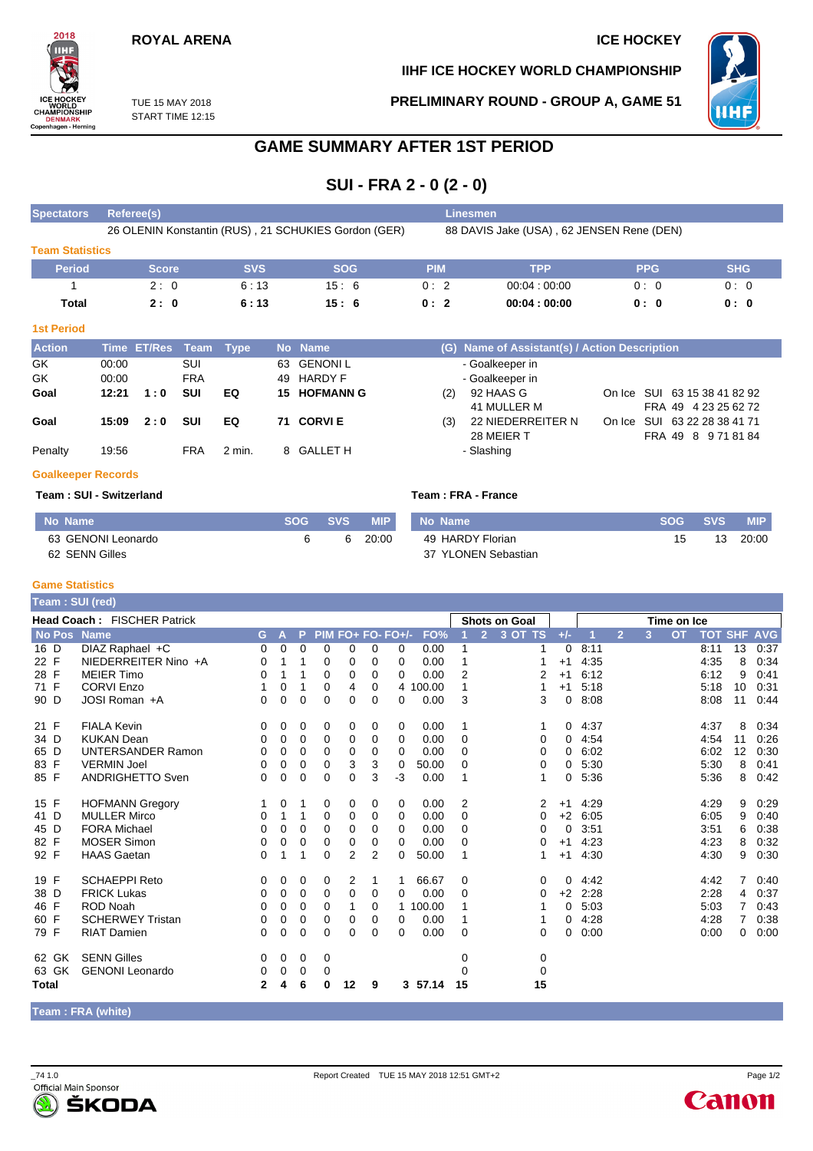# **ROYAL ARENA ICE HOCKEY**

**IIHF ICE HOCKEY WORLD CHAMPIONSHIP**

**PRELIMINARY ROUND - GROUP A, GAME 51**



TUE 15 MAY 2018 START TIME 12:15

# **GAME SUMMARY AFTER 1ST PERIOD**

**SUI - FRA 2 - 0 (2 - 0)**

| <b>Spectators</b>      | Referee(s)   |            |                                                      | <b>Linesmen</b>                           |             |            |            |  |  |  |  |  |  |
|------------------------|--------------|------------|------------------------------------------------------|-------------------------------------------|-------------|------------|------------|--|--|--|--|--|--|
|                        |              |            | 26 OLENIN Konstantin (RUS), 21 SCHUKIES Gordon (GER) | 88 DAVIS Jake (USA), 62 JENSEN Rene (DEN) |             |            |            |  |  |  |  |  |  |
| <b>Team Statistics</b> |              |            |                                                      |                                           |             |            |            |  |  |  |  |  |  |
| <b>Period</b>          | <b>Score</b> | <b>SVS</b> | <b>SOG</b>                                           | PIM                                       | <b>TPP</b>  | <b>PPG</b> | <b>SHG</b> |  |  |  |  |  |  |
|                        | 2:0          | 6:13       | 15:6                                                 | 0:2                                       | 00.04:00.00 | 0:0        | 0:0        |  |  |  |  |  |  |
| Total                  | 2:0          | 6:13       | 15:6                                                 | 0:2                                       | 00:04:00:00 | 0: 0       | 0: 0       |  |  |  |  |  |  |

#### **1st Period**

2018

CETTLE<br>ICE HOCKEY<br>CHAMPIONSHIP<br>DENMARK<br>Copenhagen - Herning

| <b>Action</b> |       | Time ET/Res Team Type |            |          | No Name             |     | (G) Name of Assistant(s) / Action Description |                              |
|---------------|-------|-----------------------|------------|----------|---------------------|-----|-----------------------------------------------|------------------------------|
| GK            | 00:00 |                       | SUI        |          | 63 GENONIL          |     | - Goalkeeper in                               |                              |
| GK            | 00:00 |                       | <b>FRA</b> |          | 49 HARDY F          |     | - Goalkeeper in                               |                              |
| Goal          | 12:21 | 1:0                   | <b>SUI</b> | EQ       | <b>15 HOFMANN G</b> | (2) | 92 HAAS G                                     | On Ice SUI 63 15 38 41 82 92 |
|               |       |                       |            |          |                     |     | 41 MULLER M                                   | FRA 49 4 23 25 62 72         |
| Goal          | 15:09 | 2:0                   | <b>SUI</b> | EQ       | 71 CORVIE           | (3) | 22 NIEDERREITER N                             | On Ice SUI 63 22 28 38 41 71 |
|               |       |                       |            |          |                     |     | 28 MEIER T                                    | FRA 49 8 971 81 84           |
| Penalty       | 19:56 |                       | FRA        | $2$ min. | 8 GALLET H          |     | - Slashing                                    |                              |
|               |       |                       |            |          |                     |     |                                               |                              |

#### **Goalkeeper Records**

#### **Team : SUI - Switzerland Team : FRA - France**

| No Name            | <b>SOG</b> | SVS | <b>MIP</b> | No Name             |    | SOG SVS | <b>MIP</b> |
|--------------------|------------|-----|------------|---------------------|----|---------|------------|
| 63 GENONI Leonardo |            | -6  | 20:00      | 49 HARDY Florian    | 15 | 13      | 20:00      |
| 62 SENN Gilles     |            |     |            | 37 YLONEN Sebastian |    |         |            |

### **Game Statistics**

| Team : SUI (red)                   |                          |              |          |             |                   |                |                |                |        |                      |                |         |             |      |                |   |           |                |                |            |
|------------------------------------|--------------------------|--------------|----------|-------------|-------------------|----------------|----------------|----------------|--------|----------------------|----------------|---------|-------------|------|----------------|---|-----------|----------------|----------------|------------|
| <b>Head Coach: FISCHER Patrick</b> |                          |              |          |             |                   |                |                |                |        | <b>Shots on Goal</b> |                |         | Time on Ice |      |                |   |           |                |                |            |
| No Pos Name                        |                          | G.           | ÆV       | P           | PIM FO+ FO- FO+/- |                |                |                | FO%    |                      | $\overline{2}$ | 3 OT TS | $+/-$       |      | $\overline{2}$ | 3 | <b>OT</b> | <b>TOT SHF</b> |                | <b>AVG</b> |
| 16 D                               | DIAZ Raphael +C          | 0            | 0        | $\Omega$    | $\Omega$          | 0              | 0              | 0              | 0.00   | 1                    |                | 1       | 0           | 8:11 |                |   |           | 8:11           | 13             | 0:37       |
| 22 F                               | NIEDERREITER Nino +A     | 0            |          |             | 0                 | 0              | 0              | 0              | 0.00   |                      |                |         | $+1$        | 4:35 |                |   |           | 4:35           | 8              | 0:34       |
| 28 F                               | <b>MEIER Timo</b>        | 0            |          |             | 0                 | 0              | 0              | 0              | 0.00   | 2                    |                | 2       | $+1$        | 6:12 |                |   |           | 6:12           | 9              | 0:41       |
| 71 F                               | <b>CORVI Enzo</b>        | 1            | 0        |             | 0                 | 4              | 0              | $\overline{4}$ | 100.00 | 1                    |                |         | $+1$        | 5:18 |                |   |           | 5:18           | 10             | 0:31       |
| 90 D                               | JOSI Roman +A            | 0            | 0        | $\Omega$    | $\Omega$          | $\Omega$       | 0              | 0              | 0.00   | 3                    |                | 3       | 0           | 8:08 |                |   |           | 8:08           | 11             | 0:44       |
| 21 F                               | <b>FIALA Kevin</b>       | 0            | 0        | 0           | 0                 | 0              | 0              | 0              | 0.00   | 1                    |                |         | 0           | 4:37 |                |   |           | 4:37           | 8              | 0:34       |
| 34 D                               | <b>KUKAN Dean</b>        | 0            | $\Omega$ | 0           | 0                 | 0              | 0              | 0              | 0.00   | $\Omega$             |                | 0       | 0           | 4:54 |                |   |           | 4.54           | 11             | 0:26       |
| 65 D                               | <b>UNTERSANDER Ramon</b> | 0            | 0        | 0           | $\Omega$          | 0              | 0              | $\Omega$       | 0.00   | 0                    |                | 0       | 0           | 6:02 |                |   |           | 6:02           | 12             | 0:30       |
| 83 F                               | <b>VERMIN Joel</b>       | 0            | $\Omega$ | $\Omega$    | $\Omega$          | 3              | 3              | $\Omega$       | 50.00  | $\Omega$             |                | 0       | 0           | 5:30 |                |   |           | 5:30           | 8              | 0:41       |
| 85 F                               | <b>ANDRIGHETTO Sven</b>  | 0            | 0        | 0           | $\Omega$          | 0              | 3              | $-3$           | 0.00   | 1                    |                | 1       | 0           | 5:36 |                |   |           | 5:36           | 8              | 0:42       |
| 15 F                               | <b>HOFMANN Gregory</b>   | 1            | 0        | 1           | 0                 | 0              | 0              | 0              | 0.00   | 2                    |                | 2       | $+1$        | 4:29 |                |   |           | 4:29           | 9              | 0:29       |
| 41 D                               | <b>MULLER Mirco</b>      | 0            |          | 1           | 0                 | 0              | 0              | 0              | 0.00   | $\Omega$             |                | 0       | $+2$        | 6:05 |                |   |           | 6:05           | 9              | 0:40       |
| 45 D                               | <b>FORA Michael</b>      | 0            | $\Omega$ | $\Omega$    | $\Omega$          | $\Omega$       | 0              | $\Omega$       | 0.00   | $\Omega$             |                | 0       | $\Omega$    | 3:51 |                |   |           | 3:51           | 6              | 0:38       |
| 82 F                               | <b>MOSER Simon</b>       | 0            | $\Omega$ | 0           | 0                 | 0              | 0              | 0              | 0.00   | $\Omega$             |                | 0       | $+1$        | 4:23 |                |   |           | 4:23           | 8              | 0:32       |
| 92 F                               | <b>HAAS Gaetan</b>       | 0            |          | 1           | $\mathbf 0$       | $\overline{2}$ | $\overline{2}$ | $\Omega$       | 50.00  | 1                    |                |         | $+1$        | 4:30 |                |   |           | 4:30           | 9              | 0:30       |
| 19 F                               | <b>SCHAEPPI Reto</b>     | 0            | 0        | 0           | 0                 | 2              | 1              | 1              | 66.67  | 0                    |                | 0       | 0           | 4:42 |                |   |           | 4:42           | 7              | 0:40       |
| 38 D                               | <b>FRICK Lukas</b>       | 0            | 0        | 0           | 0                 | 0              | 0              | 0              | 0.00   | $\Omega$             |                | 0       | $+2$        | 2:28 |                |   |           | 2:28           | 4              | 0:37       |
| 46 F                               | <b>ROD Noah</b>          | 0            | 0        | 0           | 0                 |                | 0              | $\mathbf{1}$   | 100.00 |                      |                |         | 0           | 5:03 |                |   |           | 5:03           |                | 0:43       |
| 60 F                               | <b>SCHERWEY Tristan</b>  | 0            | 0        | 0           | 0                 | 0              | 0              | 0              | 0.00   | 1                    |                |         | 0           | 4:28 |                |   |           | 4:28           | $\overline{7}$ | 0:38       |
| 79 F                               | <b>RIAT Damien</b>       | 0            | 0        | $\Omega$    | $\Omega$          | 0              | 0              | 0              | 0.00   | $\Omega$             |                | 0       | 0           | 0:00 |                |   |           | 0:00           | 0              | 0:00       |
| 62 GK                              | <b>SENN Gilles</b>       | 0            | 0        | 0           | 0                 |                |                |                |        | 0                    |                | 0       |             |      |                |   |           |                |                |            |
| 63 GK                              | <b>GENONI</b> Leonardo   | 0            | 0        | $\mathbf 0$ | 0                 |                |                |                |        | $\Omega$             |                | 0       |             |      |                |   |           |                |                |            |
| Total                              |                          | $\mathbf{2}$ | 4        | 6           | 0                 | 12             | 9              | 3              | 57.14  | 15                   |                | 15      |             |      |                |   |           |                |                |            |

**Team : FRA (white)**